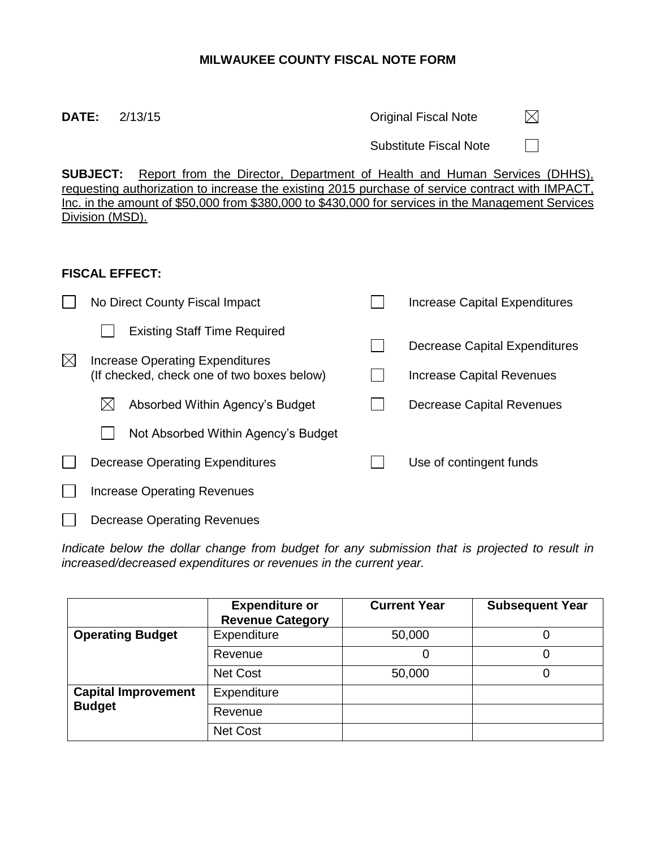# **MILWAUKEE COUNTY FISCAL NOTE FORM**

**DATE:** 2/13/15 **DATE:** 2/13/15  $\boxtimes$ 

Substitute Fiscal Note

 $\Box$ 

**SUBJECT:** Report from the Director, Department of Health and Human Services (DHHS), requesting authorization to increase the existing 2015 purchase of service contract with IMPACT, Inc. in the amount of \$50,000 from \$380,000 to \$430,000 for services in the Management Services Division (MSD).

## **FISCAL EFFECT:**

 $\Box$ 

Decrease Operating Revenues

|             | No Direct County Fiscal Impact                                                                                       |  | Increase Capital Expenditures                              |
|-------------|----------------------------------------------------------------------------------------------------------------------|--|------------------------------------------------------------|
| $\boxtimes$ | <b>Existing Staff Time Required</b><br>Increase Operating Expenditures<br>(If checked, check one of two boxes below) |  | Decrease Capital Expenditures<br>Increase Capital Revenues |
|             | Absorbed Within Agency's Budget<br>IХ                                                                                |  | Decrease Capital Revenues                                  |
|             | Not Absorbed Within Agency's Budget                                                                                  |  |                                                            |
|             | Decrease Operating Expenditures                                                                                      |  | Use of contingent funds                                    |
|             | Increase Operating Revenues                                                                                          |  |                                                            |
|             |                                                                                                                      |  |                                                            |

*Indicate below the dollar change from budget for any submission that is projected to result in increased/decreased expenditures or revenues in the current year.*

|                            | <b>Expenditure or</b><br><b>Revenue Category</b> | <b>Current Year</b> | <b>Subsequent Year</b> |
|----------------------------|--------------------------------------------------|---------------------|------------------------|
| <b>Operating Budget</b>    | Expenditure                                      | 50,000              |                        |
|                            | Revenue                                          | 0                   |                        |
|                            | <b>Net Cost</b>                                  | 50,000              |                        |
| <b>Capital Improvement</b> | Expenditure                                      |                     |                        |
| <b>Budget</b>              | Revenue                                          |                     |                        |
|                            | <b>Net Cost</b>                                  |                     |                        |